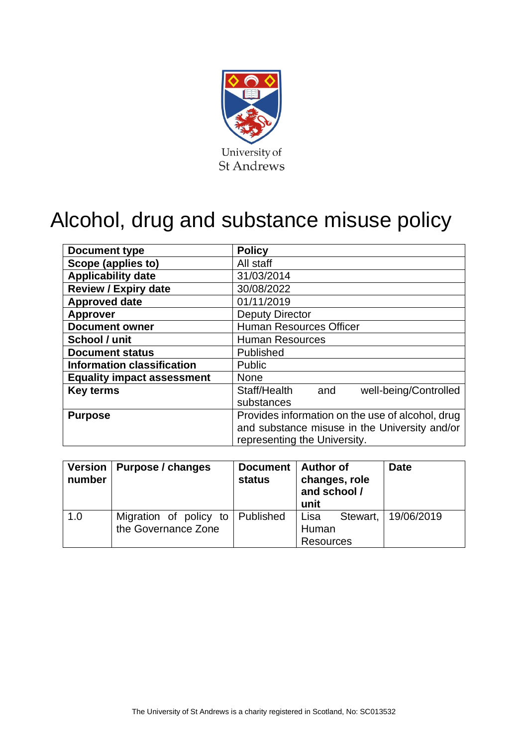

# Alcohol, drug and substance misuse policy

| Document type                     | <b>Policy</b>                                    |  |  |  |
|-----------------------------------|--------------------------------------------------|--|--|--|
| Scope (applies to)                | All staff                                        |  |  |  |
| <b>Applicability date</b>         | 31/03/2014                                       |  |  |  |
| <b>Review / Expiry date</b>       | 30/08/2022                                       |  |  |  |
| <b>Approved date</b>              | 01/11/2019                                       |  |  |  |
| <b>Approver</b>                   | <b>Deputy Director</b>                           |  |  |  |
| <b>Document owner</b>             | <b>Human Resources Officer</b>                   |  |  |  |
| School / unit                     | <b>Human Resources</b>                           |  |  |  |
| <b>Document status</b>            | Published                                        |  |  |  |
| <b>Information classification</b> | Public                                           |  |  |  |
| <b>Equality impact assessment</b> | None                                             |  |  |  |
| <b>Key terms</b>                  | Staff/Health<br>well-being/Controlled<br>and     |  |  |  |
|                                   | substances                                       |  |  |  |
| <b>Purpose</b>                    | Provides information on the use of alcohol, drug |  |  |  |
|                                   | and substance misuse in the University and/or    |  |  |  |
|                                   | representing the University.                     |  |  |  |

| <b>Version</b><br>number | Purpose / changes                             | Document   Author of<br><b>status</b> | changes, role<br>and school /<br>unit | <b>Date</b> |
|--------------------------|-----------------------------------------------|---------------------------------------|---------------------------------------|-------------|
| 1.0                      | Migration of policy to<br>the Governance Zone | Published                             | Stewart,<br>Lisa<br>Human             | 19/06/2019  |
|                          |                                               |                                       | <b>Resources</b>                      |             |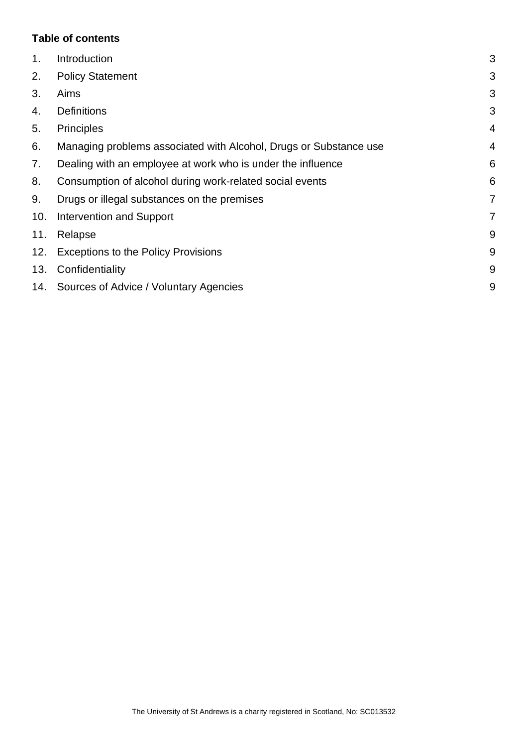### **Table of contents**

| 1.  | Introduction                                                      | 3 |
|-----|-------------------------------------------------------------------|---|
| 2.  | <b>Policy Statement</b>                                           | 3 |
| 3.  | Aims                                                              | 3 |
| 4.  | <b>Definitions</b>                                                | 3 |
| 5.  | <b>Principles</b>                                                 | 4 |
| 6.  | Managing problems associated with Alcohol, Drugs or Substance use | 4 |
| 7.  | Dealing with an employee at work who is under the influence       | 6 |
| 8.  | Consumption of alcohol during work-related social events          | 6 |
| 9.  | Drugs or illegal substances on the premises                       | 7 |
| 10. | <b>Intervention and Support</b>                                   | 7 |
| 11. | Relapse                                                           | 9 |
| 12. | <b>Exceptions to the Policy Provisions</b>                        | 9 |
| 13. | Confidentiality                                                   | 9 |
|     | 14. Sources of Advice / Voluntary Agencies                        | 9 |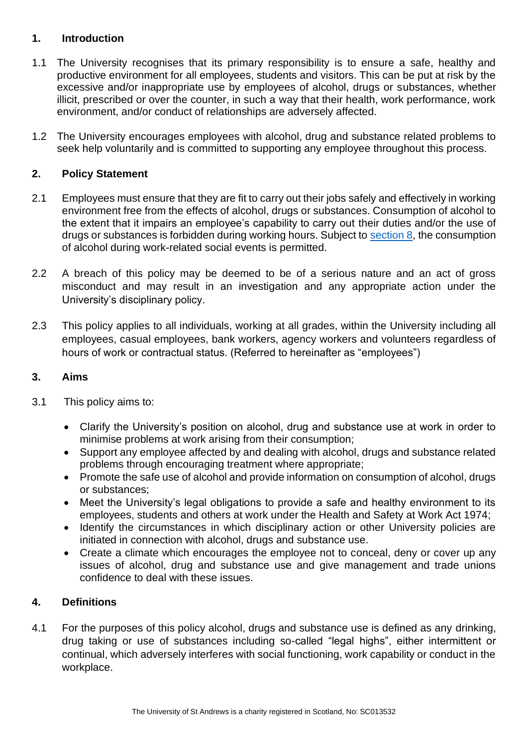### <span id="page-2-0"></span>**1. Introduction**

- 1.1 The University recognises that its primary responsibility is to ensure a safe, healthy and productive environment for all employees, students and visitors. This can be put at risk by the excessive and/or inappropriate use by employees of alcohol, drugs or substances, whether illicit, prescribed or over the counter, in such a way that their health, work performance, work environment, and/or conduct of relationships are adversely affected.
- 1.2 The University encourages employees with alcohol, drug and substance related problems to seek help voluntarily and is committed to supporting any employee throughout this process.

## <span id="page-2-1"></span>**2. Policy Statement**

- 2.1 Employees must ensure that they are fit to carry out their jobs safely and effectively in working environment free from the effects of alcohol, drugs or substances. Consumption of alcohol to the extent that it impairs an employee's capability to carry out their duties and/or the use of drugs or substances is forbidden during working hours. Subject to [section 8,](#page-5-1) the consumption of alcohol during work-related social events is permitted.
- 2.2 A breach of this policy may be deemed to be of a serious nature and an act of gross misconduct and may result in an investigation and any appropriate action under the University's disciplinary policy.
- 2.3 This policy applies to all individuals, working at all grades, within the University including all employees, casual employees, bank workers, agency workers and volunteers regardless of hours of work or contractual status. (Referred to hereinafter as "employees")

#### <span id="page-2-2"></span>**3. Aims**

- 3.1 This policy aims to:
	- Clarify the University's position on alcohol, drug and substance use at work in order to minimise problems at work arising from their consumption;
	- Support any employee affected by and dealing with alcohol, drugs and substance related problems through encouraging treatment where appropriate;
	- Promote the safe use of alcohol and provide information on consumption of alcohol, drugs or substances;
	- Meet the University's legal obligations to provide a safe and healthy environment to its employees, students and others at work under the Health and Safety at Work Act 1974;
	- Identify the circumstances in which disciplinary action or other University policies are initiated in connection with alcohol, drugs and substance use.
	- Create a climate which encourages the employee not to conceal, deny or cover up any issues of alcohol, drug and substance use and give management and trade unions confidence to deal with these issues.

#### <span id="page-2-3"></span>**4. Definitions**

4.1 For the purposes of this policy alcohol, drugs and substance use is defined as any drinking, drug taking or use of substances including so-called "legal highs", either intermittent or continual, which adversely interferes with social functioning, work capability or conduct in the workplace.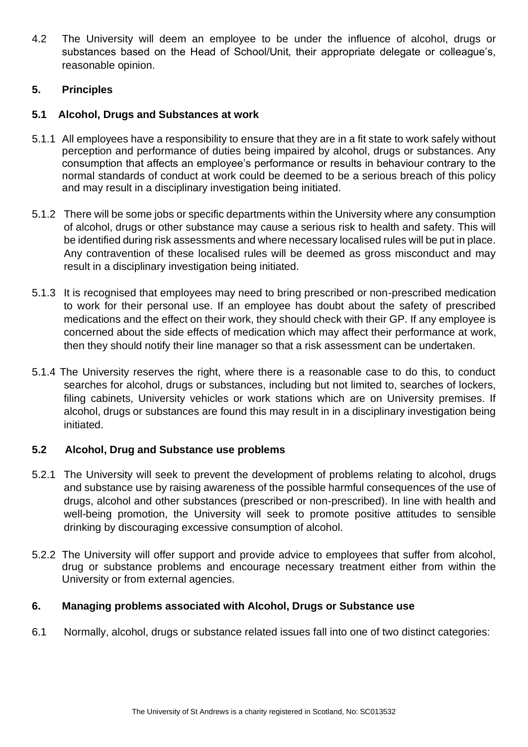4.2 The University will deem an employee to be under the influence of alcohol, drugs or substances based on the Head of School/Unit, their appropriate delegate or colleague's, reasonable opinion.

## <span id="page-3-0"></span>**5. Principles**

#### **5.1 Alcohol, Drugs and Substances at work**

- 5.1.1 All employees have a responsibility to ensure that they are in a fit state to work safely without perception and performance of duties being impaired by alcohol, drugs or substances. Any consumption that affects an employee's performance or results in behaviour contrary to the normal standards of conduct at work could be deemed to be a serious breach of this policy and may result in a disciplinary investigation being initiated.
- 5.1.2 There will be some jobs or specific departments within the University where any consumption of alcohol, drugs or other substance may cause a serious risk to health and safety. This will be identified during risk assessments and where necessary localised rules will be put in place. Any contravention of these localised rules will be deemed as gross misconduct and may result in a disciplinary investigation being initiated.
- 5.1.3 It is recognised that employees may need to bring prescribed or non-prescribed medication to work for their personal use. If an employee has doubt about the safety of prescribed medications and the effect on their work, they should check with their GP. If any employee is concerned about the side effects of medication which may affect their performance at work, then they should notify their line manager so that a risk assessment can be undertaken.
- 5.1.4 The University reserves the right, where there is a reasonable case to do this, to conduct searches for alcohol, drugs or substances, including but not limited to, searches of lockers, filing cabinets, University vehicles or work stations which are on University premises. If alcohol, drugs or substances are found this may result in in a disciplinary investigation being initiated.

#### **5.2 Alcohol, Drug and Substance use problems**

- 5.2.1 The University will seek to prevent the development of problems relating to alcohol, drugs and substance use by raising awareness of the possible harmful consequences of the use of drugs, alcohol and other substances (prescribed or non-prescribed). In line with health and well-being promotion, the University will seek to promote positive attitudes to sensible drinking by discouraging excessive consumption of alcohol.
- 5.2.2 The University will offer support and provide advice to employees that suffer from alcohol, drug or substance problems and encourage necessary treatment either from within the University or from external agencies.

#### <span id="page-3-1"></span>**6. Managing problems associated with Alcohol, Drugs or Substance use**

6.1 Normally, alcohol, drugs or substance related issues fall into one of two distinct categories: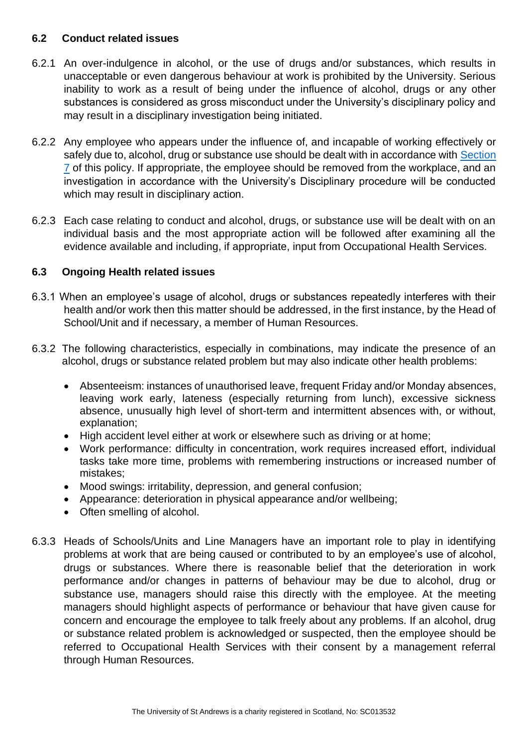#### **6.2 Conduct related issues**

- 6.2.1 An over-indulgence in alcohol, or the use of drugs and/or substances, which results in unacceptable or even dangerous behaviour at work is prohibited by the University. Serious inability to work as a result of being under the influence of alcohol, drugs or any other substances is considered as gross misconduct under the University's disciplinary policy and may result in a disciplinary investigation being initiated.
- 6.2.2 Any employee who appears under the influence of, and incapable of working effectively or safely due to, alcohol, drug or substance use should be dealt with in accordance with Section [7](#page-5-0) of this policy. If appropriate, the employee should be removed from the workplace, and an investigation in accordance with the University's Disciplinary procedure will be conducted which may result in disciplinary action.
- 6.2.3 Each case relating to conduct and alcohol, drugs, or substance use will be dealt with on an individual basis and the most appropriate action will be followed after examining all the evidence available and including, if appropriate, input from Occupational Health Services.

# **6.3 Ongoing Health related issues**

- 6.3.1 When an employee's usage of alcohol, drugs or substances repeatedly interferes with their health and/or work then this matter should be addressed, in the first instance, by the Head of School/Unit and if necessary, a member of Human Resources.
- 6.3.2 The following characteristics, especially in combinations, may indicate the presence of an alcohol, drugs or substance related problem but may also indicate other health problems:
	- Absenteeism: instances of unauthorised leave, frequent Friday and/or Monday absences, leaving work early, lateness (especially returning from lunch), excessive sickness absence, unusually high level of short-term and intermittent absences with, or without, explanation;
	- High accident level either at work or elsewhere such as driving or at home;
	- Work performance: difficulty in concentration, work requires increased effort, individual tasks take more time, problems with remembering instructions or increased number of mistakes;
	- Mood swings: irritability, depression, and general confusion;
	- Appearance: deterioration in physical appearance and/or wellbeing;
	- Often smelling of alcohol.
- 6.3.3 Heads of Schools/Units and Line Managers have an important role to play in identifying problems at work that are being caused or contributed to by an employee's use of alcohol, drugs or substances. Where there is reasonable belief that the deterioration in work performance and/or changes in patterns of behaviour may be due to alcohol, drug or substance use, managers should raise this directly with the employee. At the meeting managers should highlight aspects of performance or behaviour that have given cause for concern and encourage the employee to talk freely about any problems. If an alcohol, drug or substance related problem is acknowledged or suspected, then the employee should be referred to Occupational Health Services with their consent by a management referral through Human Resources.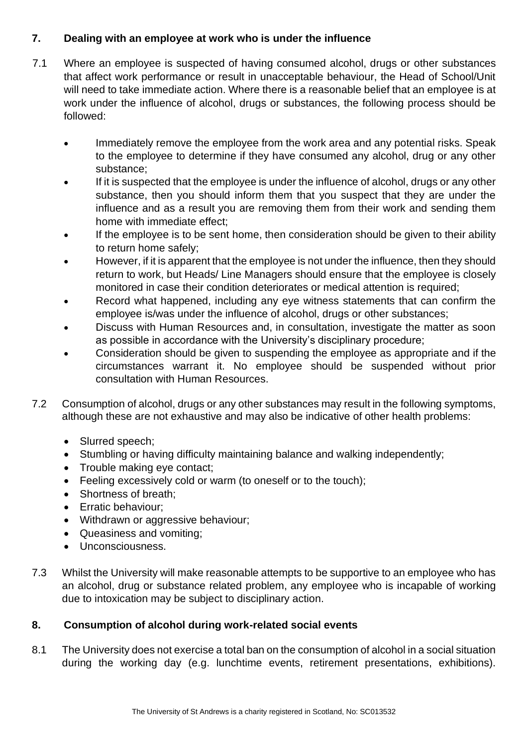# <span id="page-5-0"></span>**7. Dealing with an employee at work who is under the influence**

- 7.1 Where an employee is suspected of having consumed alcohol, drugs or other substances that affect work performance or result in unacceptable behaviour, the Head of School/Unit will need to take immediate action. Where there is a reasonable belief that an employee is at work under the influence of alcohol, drugs or substances, the following process should be followed:
	- Immediately remove the employee from the work area and any potential risks. Speak to the employee to determine if they have consumed any alcohol, drug or any other substance;
	- If it is suspected that the employee is under the influence of alcohol, drugs or any other substance, then you should inform them that you suspect that they are under the influence and as a result you are removing them from their work and sending them home with immediate effect;
	- If the employee is to be sent home, then consideration should be given to their ability to return home safely;
	- However, if it is apparent that the employee is not under the influence, then they should return to work, but Heads/ Line Managers should ensure that the employee is closely monitored in case their condition deteriorates or medical attention is required;
	- Record what happened, including any eye witness statements that can confirm the employee is/was under the influence of alcohol, drugs or other substances;
	- Discuss with Human Resources and, in consultation, investigate the matter as soon as possible in accordance with the University's disciplinary procedure;
	- Consideration should be given to suspending the employee as appropriate and if the circumstances warrant it. No employee should be suspended without prior consultation with Human Resources.
- 7.2 Consumption of alcohol, drugs or any other substances may result in the following symptoms, although these are not exhaustive and may also be indicative of other health problems:
	- Slurred speech;
	- Stumbling or having difficulty maintaining balance and walking independently;
	- Trouble making eye contact;
	- Feeling excessively cold or warm (to oneself or to the touch):
	- Shortness of breath:
	- Erratic behaviour;
	- Withdrawn or aggressive behaviour;
	- Queasiness and vomiting;
	- Unconsciousness.
- 7.3 Whilst the University will make reasonable attempts to be supportive to an employee who has an alcohol, drug or substance related problem, any employee who is incapable of working due to intoxication may be subject to disciplinary action.

# <span id="page-5-1"></span>**8. Consumption of alcohol during work-related social events**

8.1 The University does not exercise a total ban on the consumption of alcohol in a social situation during the working day (e.g. lunchtime events, retirement presentations, exhibitions).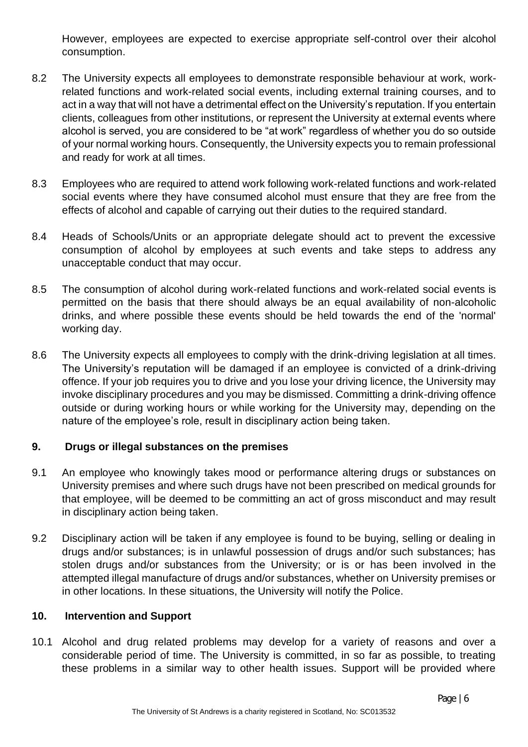However, employees are expected to exercise appropriate self-control over their alcohol consumption.

- 8.2 The University expects all employees to demonstrate responsible behaviour at work, workrelated functions and work-related social events, including external training courses, and to act in a way that will not have a detrimental effect on the University's reputation. If you entertain clients, colleagues from other institutions, or represent the University at external events where alcohol is served, you are considered to be "at work" regardless of whether you do so outside of your normal working hours. Consequently, the University expects you to remain professional and ready for work at all times.
- 8.3 Employees who are required to attend work following work-related functions and work-related social events where they have consumed alcohol must ensure that they are free from the effects of alcohol and capable of carrying out their duties to the required standard.
- 8.4 Heads of Schools/Units or an appropriate delegate should act to prevent the excessive consumption of alcohol by employees at such events and take steps to address any unacceptable conduct that may occur.
- 8.5 The consumption of alcohol during work-related functions and work-related social events is permitted on the basis that there should always be an equal availability of non-alcoholic drinks, and where possible these events should be held towards the end of the 'normal' working day.
- 8.6 The University expects all employees to comply with the drink-driving legislation at all times. The University's reputation will be damaged if an employee is convicted of a drink-driving offence. If your job requires you to drive and you lose your driving licence, the University may invoke disciplinary procedures and you may be dismissed. Committing a drink-driving offence outside or during working hours or while working for the University may, depending on the nature of the employee's role, result in disciplinary action being taken.

# <span id="page-6-0"></span>**9. Drugs or illegal substances on the premises**

- 9.1 An employee who knowingly takes mood or performance altering drugs or substances on University premises and where such drugs have not been prescribed on medical grounds for that employee, will be deemed to be committing an act of gross misconduct and may result in disciplinary action being taken.
- 9.2 Disciplinary action will be taken if any employee is found to be buying, selling or dealing in drugs and/or substances; is in unlawful possession of drugs and/or such substances; has stolen drugs and/or substances from the University; or is or has been involved in the attempted illegal manufacture of drugs and/or substances, whether on University premises or in other locations. In these situations, the University will notify the Police.

### <span id="page-6-1"></span>**10. Intervention and Support**

10.1 Alcohol and drug related problems may develop for a variety of reasons and over a considerable period of time. The University is committed, in so far as possible, to treating these problems in a similar way to other health issues. Support will be provided where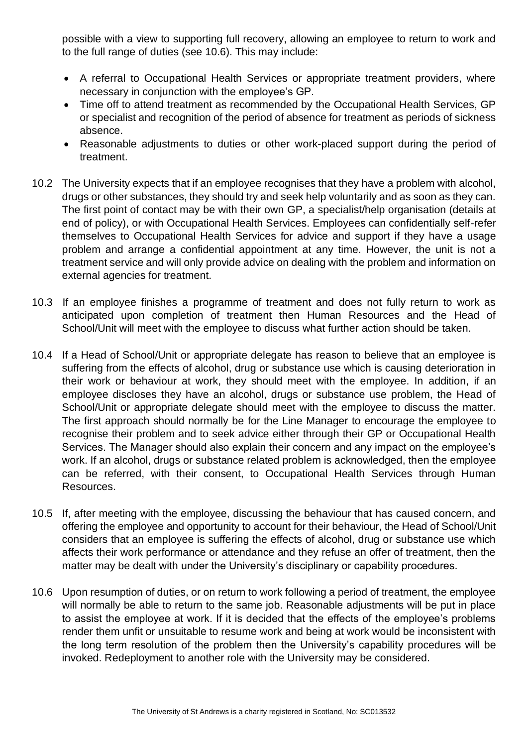possible with a view to supporting full recovery, allowing an employee to return to work and to the full range of duties (see 10.6). This may include:

- A referral to Occupational Health Services or appropriate treatment providers, where necessary in conjunction with the employee's GP.
- Time off to attend treatment as recommended by the Occupational Health Services, GP or specialist and recognition of the period of absence for treatment as periods of sickness absence.
- Reasonable adjustments to duties or other work-placed support during the period of treatment.
- 10.2 The University expects that if an employee recognises that they have a problem with alcohol, drugs or other substances, they should try and seek help voluntarily and as soon as they can. The first point of contact may be with their own GP, a specialist/help organisation (details at end of policy), or with Occupational Health Services. Employees can confidentially self-refer themselves to Occupational Health Services for advice and support if they have a usage problem and arrange a confidential appointment at any time. However, the unit is not a treatment service and will only provide advice on dealing with the problem and information on external agencies for treatment.
- 10.3 If an employee finishes a programme of treatment and does not fully return to work as anticipated upon completion of treatment then Human Resources and the Head of School/Unit will meet with the employee to discuss what further action should be taken.
- 10.4 If a Head of School/Unit or appropriate delegate has reason to believe that an employee is suffering from the effects of alcohol, drug or substance use which is causing deterioration in their work or behaviour at work, they should meet with the employee. In addition, if an employee discloses they have an alcohol, drugs or substance use problem, the Head of School/Unit or appropriate delegate should meet with the employee to discuss the matter. The first approach should normally be for the Line Manager to encourage the employee to recognise their problem and to seek advice either through their GP or Occupational Health Services. The Manager should also explain their concern and any impact on the employee's work. If an alcohol, drugs or substance related problem is acknowledged, then the employee can be referred, with their consent, to Occupational Health Services through Human Resources.
- 10.5 If, after meeting with the employee, discussing the behaviour that has caused concern, and offering the employee and opportunity to account for their behaviour, the Head of School/Unit considers that an employee is suffering the effects of alcohol, drug or substance use which affects their work performance or attendance and they refuse an offer of treatment, then the matter may be dealt with under the University's disciplinary or capability procedures.
- 10.6 Upon resumption of duties, or on return to work following a period of treatment, the employee will normally be able to return to the same job. Reasonable adjustments will be put in place to assist the employee at work. If it is decided that the effects of the employee's problems render them unfit or unsuitable to resume work and being at work would be inconsistent with the long term resolution of the problem then the University's capability procedures will be invoked. Redeployment to another role with the University may be considered.